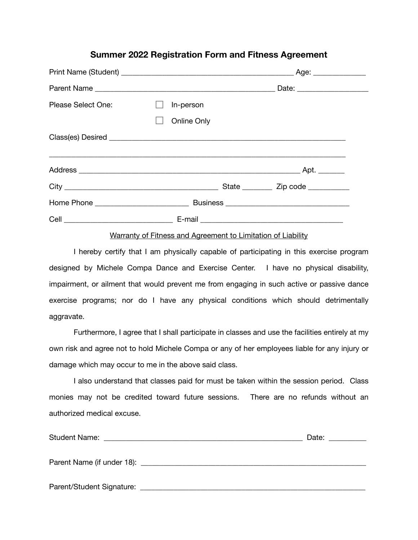### **Summer 2022 Registration Form and Fitness Agreement**

| Please Select One: | In-person   |                                            |  |
|--------------------|-------------|--------------------------------------------|--|
|                    | Online Only |                                            |  |
|                    |             |                                            |  |
|                    |             |                                            |  |
|                    |             | State _____________ Zip code _____________ |  |
|                    |             |                                            |  |
|                    |             |                                            |  |

#### Warranty of Fitness and Agreement to Limitation of Liability

I hereby certify that I am physically capable of participating in this exercise program designed by Michele Compa Dance and Exercise Center. I have no physical disability, impairment, or ailment that would prevent me from engaging in such active or passive dance exercise programs; nor do I have any physical conditions which should detrimentally aggravate.

Furthermore, I agree that I shall participate in classes and use the facilities entirely at my own risk and agree not to hold Michele Compa or any of her employees liable for any injury or damage which may occur to me in the above said class.

I also understand that classes paid for must be taken within the session period. Class monies may not be credited toward future sessions. There are no refunds without an authorized medical excuse.

| <b>Student Name:</b>      | Date: |
|---------------------------|-------|
|                           |       |
|                           |       |
|                           |       |
| Parent/Student Signature: |       |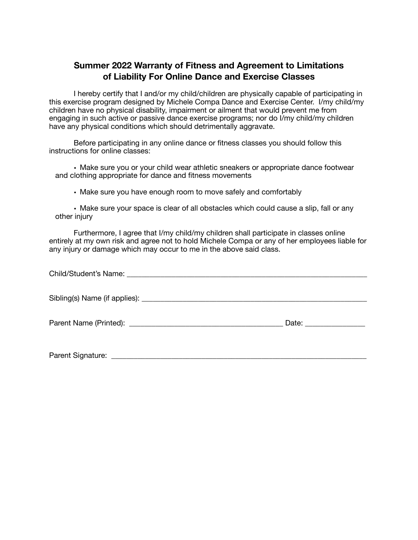# **Summer 2022 Warranty of Fitness and Agreement to Limitations of Liability For Online Dance and Exercise Classes**

I hereby certify that I and/or my child/children are physically capable of participating in this exercise program designed by Michele Compa Dance and Exercise Center. I/my child/my children have no physical disability, impairment or ailment that would prevent me from engaging in such active or passive dance exercise programs; nor do I/my child/my children have any physical conditions which should detrimentally aggravate.

Before participating in any online dance or fitness classes you should follow this instructions for online classes:

• Make sure you or your child wear athletic sneakers or appropriate dance footwear and clothing appropriate for dance and fitness movements

• Make sure you have enough room to move safely and comfortably

• Make sure your space is clear of all obstacles which could cause a slip, fall or any other injury

Furthermore, I agree that I/my child/my children shall participate in classes online entirely at my own risk and agree not to hold Michele Compa or any of her employees liable for any injury or damage which may occur to me in the above said class.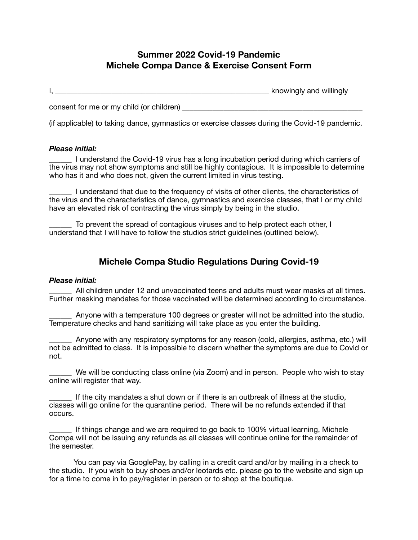# **Summer 2022 Covid-19 Pandemic Michele Compa Dance & Exercise Consent Form**

I, \_\_\_\_\_\_\_\_\_\_\_\_\_\_\_\_\_\_\_\_\_\_\_\_\_\_\_\_\_\_\_\_\_\_\_\_\_\_\_\_\_\_\_\_\_\_\_\_\_\_\_\_\_\_\_\_\_ knowingly and willingly consent for me or my child (or children)

(if applicable) to taking dance, gymnastics or exercise classes during the Covid-19 pandemic.

### *Please initial:*

\_\_\_\_\_\_ I understand the Covid-19 virus has a long incubation period during which carriers of the virus may not show symptoms and still be highly contagious. It is impossible to determine who has it and who does not, given the current limited in virus testing.

\_\_\_\_\_\_ I understand that due to the frequency of visits of other clients, the characteristics of the virus and the characteristics of dance, gymnastics and exercise classes, that I or my child have an elevated risk of contracting the virus simply by being in the studio.

To prevent the spread of contagious viruses and to help protect each other, I understand that I will have to follow the studios strict guidelines (outlined below).

### **Michele Compa Studio Regulations During Covid-19**

#### *Please initial:*

All children under 12 and unvaccinated teens and adults must wear masks at all times. Further masking mandates for those vaccinated will be determined according to circumstance.

\_\_\_\_\_\_ Anyone with a temperature 100 degrees or greater will not be admitted into the studio. Temperature checks and hand sanitizing will take place as you enter the building.

Anyone with any respiratory symptoms for any reason (cold, allergies, asthma, etc.) will not be admitted to class. It is impossible to discern whether the symptoms are due to Covid or not.

We will be conducting class online (via Zoom) and in person. People who wish to stay online will register that way.

If the city mandates a shut down or if there is an outbreak of illness at the studio, classes will go online for the quarantine period. There will be no refunds extended if that occurs.

If things change and we are required to go back to 100% virtual learning, Michele Compa will not be issuing any refunds as all classes will continue online for the remainder of the semester.

You can pay via GooglePay, by calling in a credit card and/or by mailing in a check to the studio. If you wish to buy shoes and/or leotards etc. please go to the website and sign up for a time to come in to pay/register in person or to shop at the boutique.